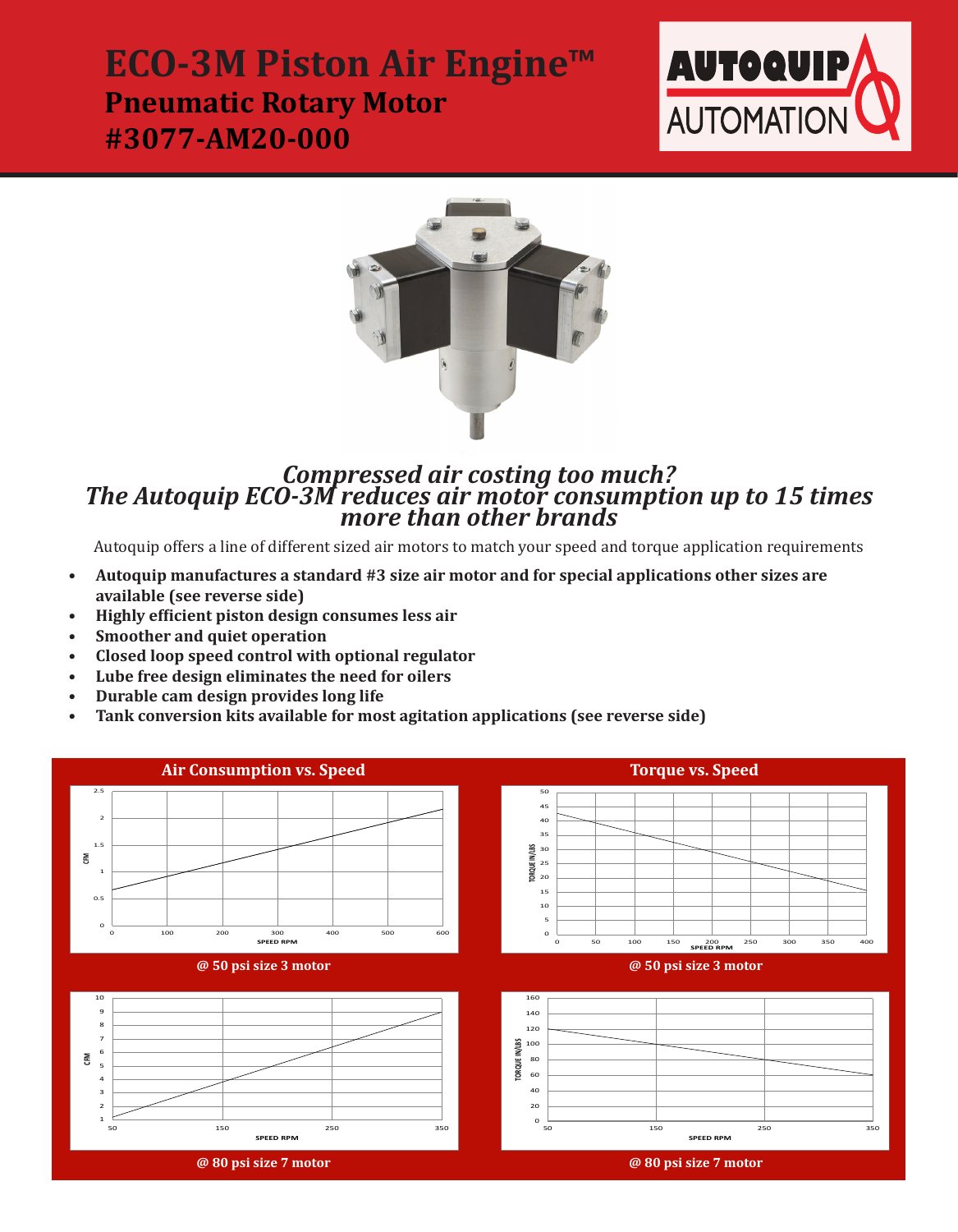## **ECO-3M Piston Air Engine™ Pneumatic Rotary Motor #3077-AM20-000**





# *Compressed air costing too much?*<br>The Autoquip ECO-3M reduces air motor consumption up to 15 times<br>more than other brands

Autoquip offers a line of different sized air motors to match your speed and torque application requirements

- **• Autoquip manufactures a standard #3 size air motor and for special applications other sizes are available (see reverse side)**
- **• Highly efficient piston design consumes less air**
- **• Smoother and quiet operation**
- **• Closed loop speed control with optional regulator**
- **• Lube free design eliminates the need for oilers**
- **• Durable cam design provides long life**
- **• Tank conversion kits available for most agitation applications (see reverse side)**